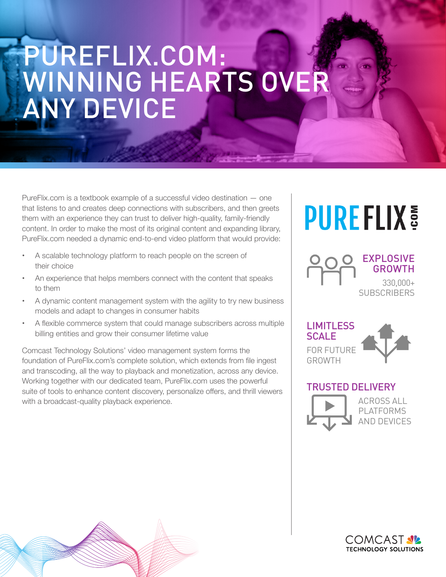## PUREFLIX.COM: WINNING HEARTS OVER ANY DEVICE

PureFlix.com is a textbook example of a successful video destination — one that listens to and creates deep connections with subscribers, and then greets them with an experience they can trust to deliver high-quality, family-friendly content. In order to make the most of its original content and expanding library, PureFlix.com needed a dynamic end-to-end video platform that would provide:

- A scalable technology platform to reach people on the screen of their choice
- An experience that helps members connect with the content that speaks to them
- A dynamic content management system with the agility to try new business models and adapt to changes in consumer habits
- A flexible commerce system that could manage subscribers across multiple billing entities and grow their consumer lifetime value

Comcast Technology Solutions' video management system forms the foundation of PureFlix.com's complete solution, which extends from file ingest and transcoding, all the way to playback and monetization, across any device. Working together with our dedicated team, PureFlix.com uses the powerful suite of tools to enhance content discovery, personalize offers, and thrill viewers with a broadcast-quality playback experience.

# **PUREFLIX:**

#### EXPLOSIVE GROWTH 330,000+ **SUBSCRIBERS**

**LIMITLESS SCALE** FOR FUTURE GROWTH



#### TRUSTED DELIVERY



ACROSS ALL PLATFORMS AND DEVICES